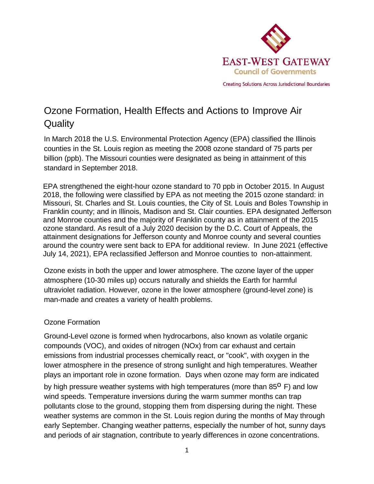

**Creating Solutions Across Jurisdictional Boundaries** 

## Ozone Formation, Health Effects and Actions to Improve Air **Quality**

In March 2018 the U.S. Environmental Protection Agency (EPA) classified the Illinois counties in the St. Louis region as meeting the 2008 ozone standard of 75 parts per billion (ppb). The Missouri counties were designated as being in attainment of this standard in September 2018.

EPA strengthened the eight-hour ozone standard to 70 ppb in October 2015. In August 2018, the following were classified by EPA as not meeting the 2015 ozone standard: in Missouri, St. Charles and St. Louis counties, the City of St. Louis and Boles Township in Franklin county; and in Illinois, Madison and St. Clair counties. EPA designated Jefferson and Monroe counties and the majority of Franklin county as in attainment of the 2015 ozone standard. As result of a July 2020 decision by the D.C. Court of Appeals, the attainment designations for Jefferson county and Monroe county and several counties around the country were sent back to EPA for additional review. In June 2021 (effective July 14, 2021), EPA reclassified Jefferson and Monroe counties to non-attainment.

Ozone exists in both the upper and lower atmosphere. The ozone layer of the upper atmosphere (10-30 miles up) occurs naturally and shields the Earth for harmful ultraviolet radiation. However, ozone in the lower atmosphere (ground-level zone) is man-made and creates a variety of health problems.

## Ozone Formation

Ground-Level ozone is formed when hydrocarbons, also known as volatile organic compounds (VOC), and oxides of nitrogen (NOx) from car exhaust and certain emissions from industrial processes chemically react, or "cook", with oxygen in the lower atmosphere in the presence of strong sunlight and high temperatures. Weather plays an important role in ozone formation. Days when ozone may form are indicated

by high pressure weather systems with high temperatures (more than  $85^{\circ}$  F) and low wind speeds. Temperature inversions during the warm summer months can trap pollutants close to the ground, stopping them from dispersing during the night. These weather systems are common in the St. Louis region during the months of May through early September. Changing weather patterns, especially the number of hot, sunny days and periods of air stagnation, contribute to yearly differences in ozone concentrations.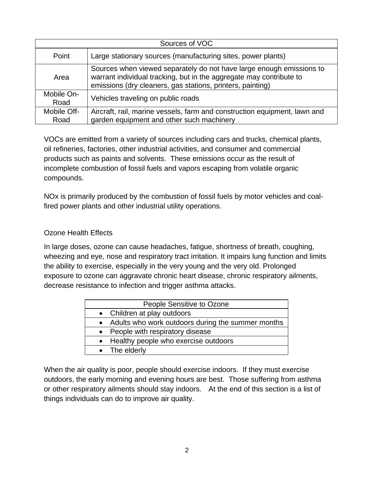| Sources of VOC     |                                                                                                                                                                                                           |
|--------------------|-----------------------------------------------------------------------------------------------------------------------------------------------------------------------------------------------------------|
| Point              | Large stationary sources (manufacturing sites, power plants)                                                                                                                                              |
| Area               | Sources when viewed separately do not have large enough emissions to<br>warrant individual tracking, but in the aggregate may contribute to<br>emissions (dry cleaners, gas stations, printers, painting) |
| Mobile On-<br>Road | Vehicles traveling on public roads                                                                                                                                                                        |
| Mobile Off-        | Aircraft, rail, marine vessels, farm and construction equipment, lawn and                                                                                                                                 |
| Road               | garden equipment and other such machinery                                                                                                                                                                 |

VOCs are emitted from a variety of sources including cars and trucks, chemical plants, oil refineries, factories, other industrial activities, and consumer and commercial products such as paints and solvents. These emissions occur as the result of incomplete combustion of fossil fuels and vapors escaping from volatile organic compounds.

NOx is primarily produced by the combustion of fossil fuels by motor vehicles and coalfired power plants and other industrial utility operations.

## Ozone Health Effects

In large doses, ozone can cause headaches, fatigue, shortness of breath, coughing, wheezing and eye, nose and respiratory tract irritation. It impairs lung function and limits the ability to exercise, especially in the very young and the very old. Prolonged exposure to ozone can aggravate chronic heart disease, chronic respiratory ailments, decrease resistance to infection and trigger asthma attacks.

| People Sensitive to Ozone                           |
|-----------------------------------------------------|
| • Children at play outdoors                         |
| • Adults who work outdoors during the summer months |
| • People with respiratory disease                   |
| • Healthy people who exercise outdoors              |
| • The elderly                                       |
|                                                     |

When the air quality is poor, people should exercise indoors. If they must exercise outdoors, the early morning and evening hours are best. Those suffering from asthma or other respiratory ailments should stay indoors. At the end of this section is a list of things individuals can do to improve air quality.